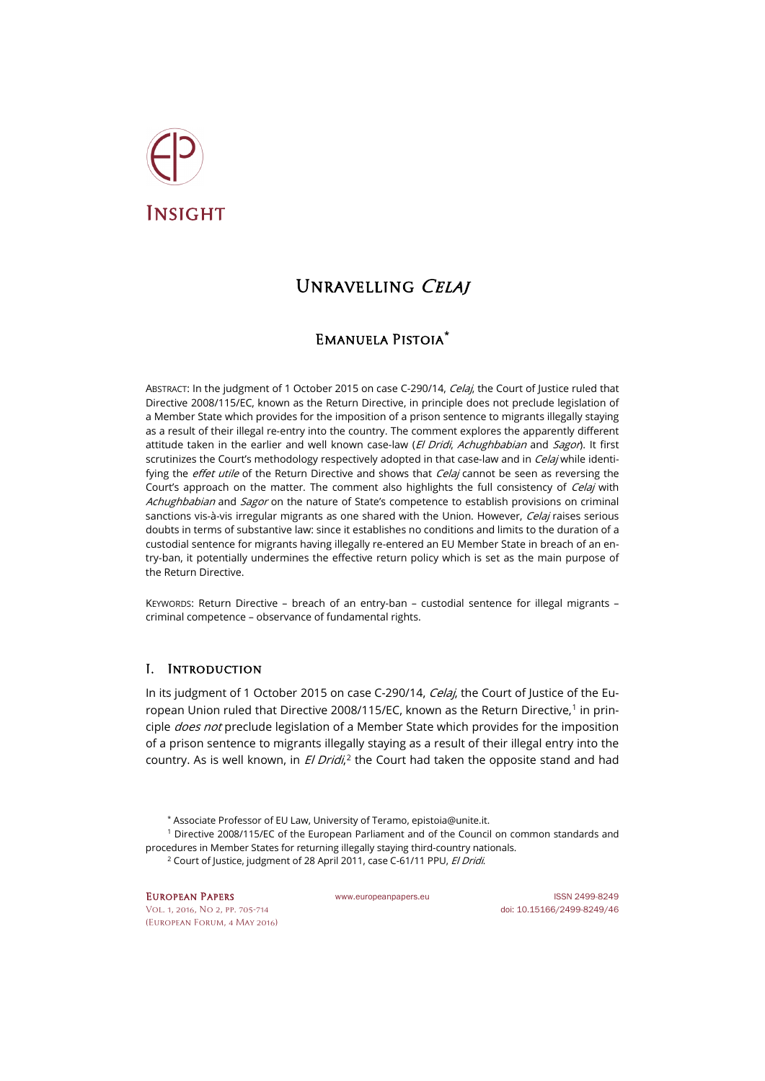

# UNRAVELLING CELAI

## Emanuela Pistoia**[\\*](#page-0-0)**

ABSTRACT: In the judgment of 1 October 2015 on case C-290/14, *Celaj*, the Court of Justice ruled that Directive 2008/115/EC, known as the Return Directive, in principle does not preclude legislation of a Member State which provides for the imposition of a prison sentence to migrants illegally staying as a result of their illegal re-entry into the country. The comment explores the apparently different attitude taken in the earlier and well known case-law (El Dridi, Achughbabian and Sagor). It first scrutinizes the Court's methodology respectively adopted in that case-law and in *Celaj* while identifying the *effet utile* of the Return Directive and shows that *Celaj* cannot be seen as reversing the Court's approach on the matter. The comment also highlights the full consistency of *Celaj* with Achughbabian and Sagor on the nature of State's competence to establish provisions on criminal sanctions vis-à-vis irregular migrants as one shared with the Union. However, Celaj raises serious doubts in terms of substantive law: since it establishes no conditions and limits to the duration of a custodial sentence for migrants having illegally re-entered an EU Member State in breach of an entry-ban, it potentially undermines the effective return policy which is set as the main purpose of the Return Directive.

KEYWORDS: Return Directive – breach of an entry-ban – custodial sentence for illegal migrants – criminal competence – observance of fundamental rights.

### I. Introduction

In its judgment of 1 October 2015 on case C-290/14, Celaj, the Court of Justice of the Eu-ropean Union ruled that Directive 2008/[1](#page-0-1)15/EC, known as the Return Directive,<sup>1</sup> in principle *does not* preclude legislation of a Member State which provides for the imposition of a prison sentence to migrants illegally staying as a result of their illegal entry into the country. As is well known, in El Dridi,<sup>[2](#page-0-2)</sup> the Court had taken the opposite stand and had

- \* Associate Professor of EU Law, University of Teramo, epistoia@unite.it.
- <span id="page-0-2"></span><span id="page-0-1"></span><span id="page-0-0"></span><sup>1</sup> Directive 2008/115/EC of the European Parliament and of the Council on common standards and procedures in Member States for returning illegally staying third-country nationals.
	- <sup>2</sup> Court of Justice, judgment of 28 April 2011, case C-61/11 PPU, El Dridi.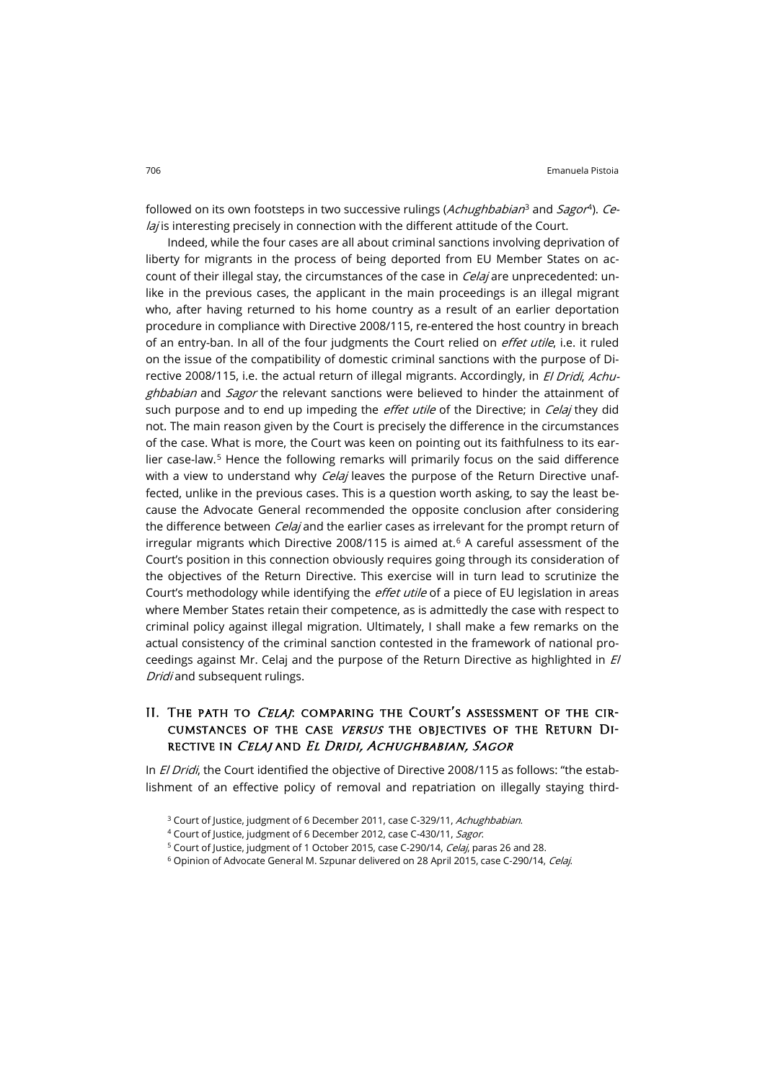followed on its own footsteps in two successive rulings (Achughbabian<sup>[3](#page-1-0)</sup> and Sagor<sup>[4](#page-1-1)</sup>). Ce*lai* is interesting precisely in connection with the different attitude of the Court.

Indeed, while the four cases are all about criminal sanctions involving deprivation of liberty for migrants in the process of being deported from EU Member States on account of their illegal stay, the circumstances of the case in *Celaj* are unprecedented: unlike in the previous cases, the applicant in the main proceedings is an illegal migrant who, after having returned to his home country as a result of an earlier deportation procedure in compliance with Directive 2008/115, re-entered the host country in breach of an entry-ban. In all of the four judgments the Court relied on *effet utile*, i.e. it ruled on the issue of the compatibility of domestic criminal sanctions with the purpose of Directive 2008/115, i.e. the actual return of illegal migrants. Accordingly, in *El Dridi, Achu*ghbabian and Sagor the relevant sanctions were believed to hinder the attainment of such purpose and to end up impeding the *effet utile* of the Directive; in *Celaj* they did not. The main reason given by the Court is precisely the difference in the circumstances of the case. What is more, the Court was keen on pointing out its faithfulness to its ear-lier case-law.<sup>[5](#page-1-2)</sup> Hence the following remarks will primarily focus on the said difference with a view to understand why *Celai* leaves the purpose of the Return Directive unaffected, unlike in the previous cases. This is a question worth asking, to say the least because the Advocate General recommended the opposite conclusion after considering the difference between *Celaj* and the earlier cases as irrelevant for the prompt return of irregular migrants which Directive 2008/115 is aimed at. $6$  A careful assessment of the Court's position in this connection obviously requires going through its consideration of the objectives of the Return Directive. This exercise will in turn lead to scrutinize the Court's methodology while identifying the *effet utile* of a piece of EU legislation in areas where Member States retain their competence, as is admittedly the case with respect to criminal policy against illegal migration. Ultimately, I shall make a few remarks on the actual consistency of the criminal sanction contested in the framework of national proceedings against Mr. Celaj and the purpose of the Return Directive as highlighted in  $E$ Dridi and subsequent rulings.

### II. THE PATH TO CELAJ: COMPARING THE COURT'S ASSESSMENT OF THE CIRcumstances of the case versus the objectives of the Return Directive in Celaj and El Dridi, Achughbabian, Sagor

<span id="page-1-2"></span><span id="page-1-1"></span><span id="page-1-0"></span>In *El Dridi*, the Court identified the objective of Directive 2008/115 as follows: "the establishment of an effective policy of removal and repatriation on illegally staying third-

<sup>&</sup>lt;sup>3</sup> Court of Justice, judgment of 6 December 2011, case C-329/11, Achughbabian.

<sup>4</sup> Court of Justice, judgment of 6 December 2012, case C-430/11, Sagor.

<sup>&</sup>lt;sup>5</sup> Court of Justice, judgment of 1 October 2015, case C-290/14, *Celaj*, paras 26 and 28.

<span id="page-1-3"></span><sup>&</sup>lt;sup>6</sup> Opinion of Advocate General M. Szpunar delivered on 28 April 2015, case C-290/14, Celaj.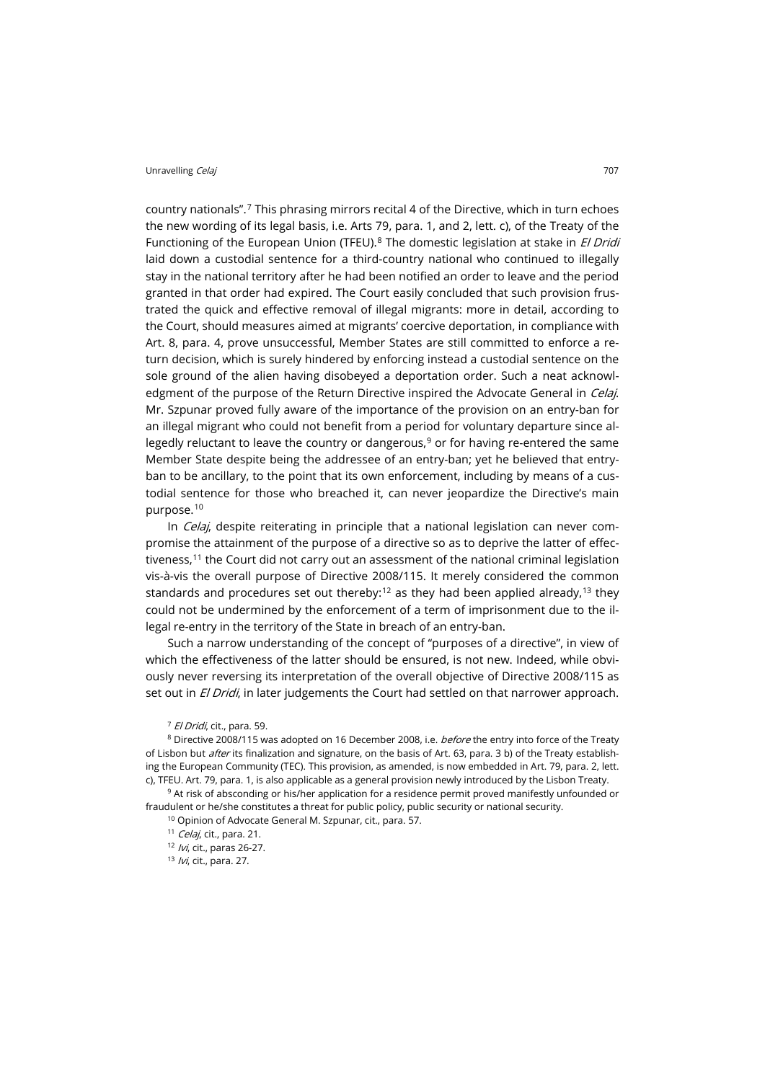country nationals".[7](#page-2-0) This phrasing mirrors recital 4 of the Directive, which in turn echoes the new wording of its legal basis, i.e. Arts 79, para. 1, and 2, lett. c), of the Treaty of the Functioning of the European Union (TFEU).<sup>[8](#page-2-1)</sup> The domestic legislation at stake in *El Dridi* laid down a custodial sentence for a third-country national who continued to illegally stay in the national territory after he had been notified an order to leave and the period granted in that order had expired. The Court easily concluded that such provision frustrated the quick and effective removal of illegal migrants: more in detail, according to the Court, should measures aimed at migrants' coercive deportation, in compliance with Art. 8, para. 4, prove unsuccessful, Member States are still committed to enforce a return decision, which is surely hindered by enforcing instead a custodial sentence on the sole ground of the alien having disobeyed a deportation order. Such a neat acknowledgment of the purpose of the Return Directive inspired the Advocate General in Celaj. Mr. Szpunar proved fully aware of the importance of the provision on an entry-ban for an illegal migrant who could not benefit from a period for voluntary departure since allegedly reluctant to leave the country or dangerous, $9$  or for having re-entered the same Member State despite being the addressee of an entry-ban; yet he believed that entryban to be ancillary, to the point that its own enforcement, including by means of a custodial sentence for those who breached it, can never jeopardize the Directive's main purpose.[10](#page-2-3)

In *Celaj*, despite reiterating in principle that a national legislation can never compromise the attainment of the purpose of a directive so as to deprive the latter of effec-tiveness,<sup>[11](#page-2-4)</sup> the Court did not carry out an assessment of the national criminal legislation vis-à-vis the overall purpose of Directive 2008/115. It merely considered the common standards and procedures set out thereby:<sup>[12](#page-2-5)</sup> as they had been applied already,<sup>[13](#page-2-6)</sup> they could not be undermined by the enforcement of a term of imprisonment due to the illegal re-entry in the territory of the State in breach of an entry-ban.

Such a narrow understanding of the concept of "purposes of a directive", in view of which the effectiveness of the latter should be ensured, is not new. Indeed, while obviously never reversing its interpretation of the overall objective of Directive 2008/115 as set out in El Dridi, in later judgements the Court had settled on that narrower approach.

<sup>7</sup> El Dridi, cit., para. 59.

<span id="page-2-1"></span><span id="page-2-0"></span><sup>8</sup> Directive 2008/115 was adopted on 16 December 2008, i.e. *before* the entry into force of the Treaty of Lisbon but *after* its finalization and signature, on the basis of Art. 63, para. 3 b) of the Treaty establishing the European Community (TEC). This provision, as amended, is now embedded in Art. 79, para. 2, lett. c), TFEU. Art. 79, para. 1, is also applicable as a general provision newly introduced by the Lisbon Treaty.

<span id="page-2-6"></span><span id="page-2-5"></span><span id="page-2-4"></span><span id="page-2-3"></span><span id="page-2-2"></span><sup>9</sup> At risk of absconding or his/her application for a residence permit proved manifestly unfounded or fraudulent or he/she constitutes a threat for public policy, public security or national security.

<sup>10</sup> Opinion of Advocate General M. Szpunar, cit., para. 57.

<sup>11</sup> Celaj, cit., para. 21.

12 /vi, cit., paras 26-27.

13 *Ivi*, cit., para. 27.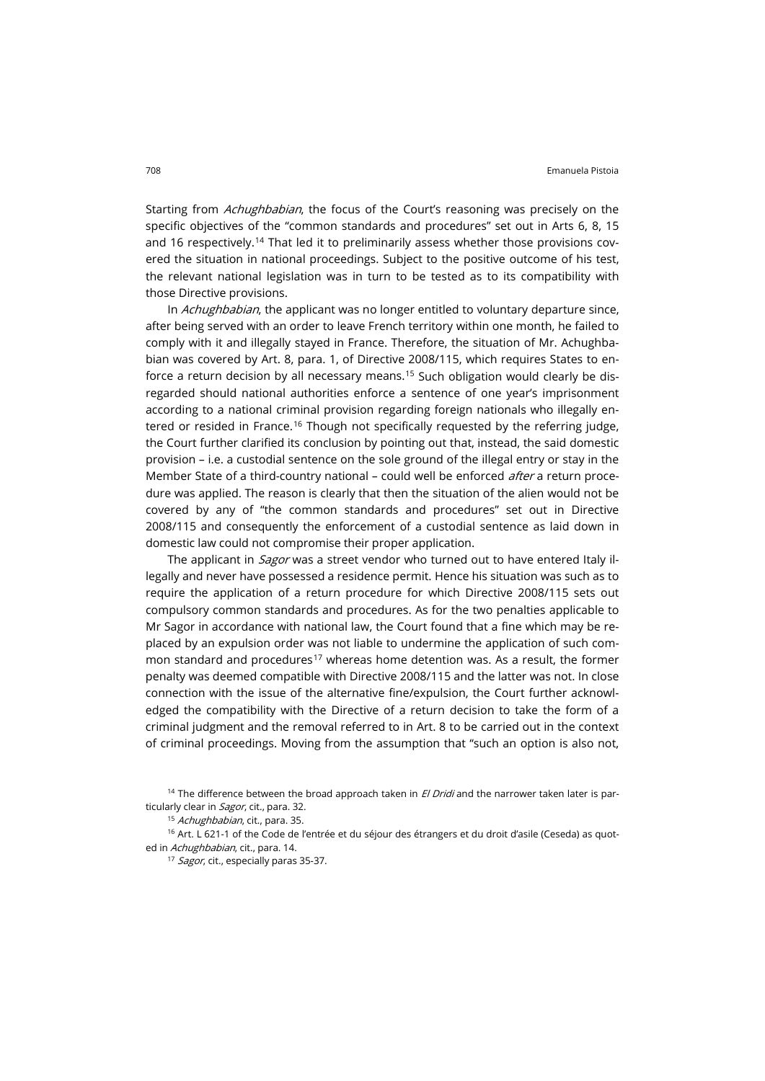Starting from *Achughbabian*, the focus of the Court's reasoning was precisely on the specific objectives of the "common standards and procedures" set out in Arts 6, 8, 15 and 16 respectively.<sup>[14](#page-3-0)</sup> That led it to preliminarily assess whether those provisions covered the situation in national proceedings. Subject to the positive outcome of his test, the relevant national legislation was in turn to be tested as to its compatibility with those Directive provisions.

In Achughbabian, the applicant was no longer entitled to voluntary departure since, after being served with an order to leave French territory within one month, he failed to comply with it and illegally stayed in France. Therefore, the situation of Mr. Achughbabian was covered by Art. 8, para. 1, of Directive 2008/115, which requires States to enforce a return decision by all necessary means.[15](#page-3-1) Such obligation would clearly be disregarded should national authorities enforce a sentence of one year's imprisonment according to a national criminal provision regarding foreign nationals who illegally en-tered or resided in France.<sup>[16](#page-3-2)</sup> Though not specifically requested by the referring judge, the Court further clarified its conclusion by pointing out that, instead, the said domestic provision – i.e. a custodial sentence on the sole ground of the illegal entry or stay in the Member State of a third-country national – could well be enforced *after* a return procedure was applied. The reason is clearly that then the situation of the alien would not be covered by any of "the common standards and procedures" set out in Directive 2008/115 and consequently the enforcement of a custodial sentence as laid down in domestic law could not compromise their proper application.

The applicant in *Sagor* was a street vendor who turned out to have entered Italy illegally and never have possessed a residence permit. Hence his situation was such as to require the application of a return procedure for which Directive 2008/115 sets out compulsory common standards and procedures. As for the two penalties applicable to Mr Sagor in accordance with national law, the Court found that a fine which may be replaced by an expulsion order was not liable to undermine the application of such com-mon standard and procedures<sup>[17](#page-3-3)</sup> whereas home detention was. As a result, the former penalty was deemed compatible with Directive 2008/115 and the latter was not. In close connection with the issue of the alternative fine/expulsion, the Court further acknowledged the compatibility with the Directive of a return decision to take the form of a criminal judgment and the removal referred to in Art. 8 to be carried out in the context of criminal proceedings. Moving from the assumption that "such an option is also not,

<span id="page-3-0"></span><sup>&</sup>lt;sup>14</sup> The difference between the broad approach taken in  $El Dridi$  and the narrower taken later is particularly clear in Sagor, cit., para. 32.

<sup>&</sup>lt;sup>15</sup> Achughbabian, cit., para. 35.

<span id="page-3-3"></span><span id="page-3-2"></span><span id="page-3-1"></span><sup>&</sup>lt;sup>16</sup> Art. L 621-1 of the Code de l'entrée et du séjour des étrangers et du droit d'asile (Ceseda) as quoted in Achughbabian, cit., para. 14.

<sup>&</sup>lt;sup>17</sup> Sagor, cit., especially paras 35-37.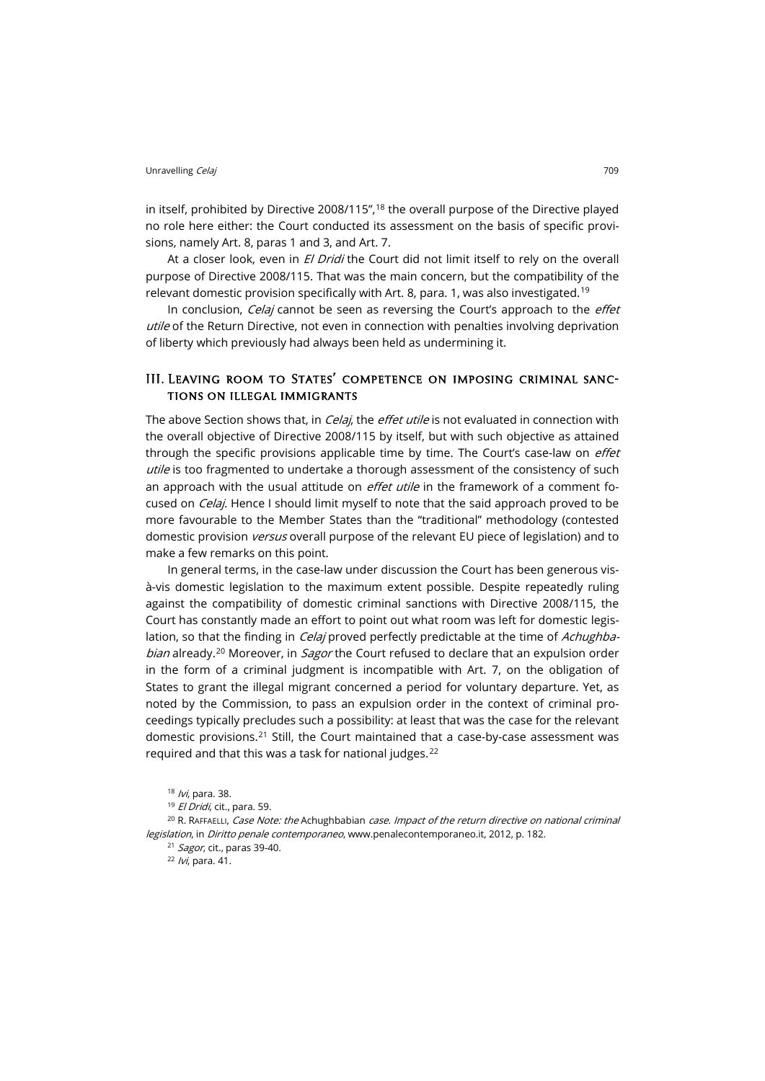in itself, prohibited by Directive 2008/115",<sup>[18](#page-4-0)</sup> the overall purpose of the Directive played no role here either: the Court conducted its assessment on the basis of specific provisions, namely Art. 8, paras 1 and 3, and Art. 7.

At a closer look, even in El Dridi the Court did not limit itself to rely on the overall purpose of Directive 2008/115. That was the main concern, but the compatibility of the relevant domestic provision specifically with Art. 8, para. 1, was also investigated.<sup>[19](#page-4-1)</sup>

In conclusion, Celaj cannot be seen as reversing the Court's approach to the effet utile of the Return Directive, not even in connection with penalties involving deprivation of liberty which previously had always been held as undermining it.

#### III. Leaving room to States' competence on imposing criminal sanctions on illegal immigrants

The above Section shows that, in *Celaj*, the *effet utile* is not evaluated in connection with the overall objective of Directive 2008/115 by itself, but with such objective as attained through the specific provisions applicable time by time. The Court's case-law on *effet* utile is too fragmented to undertake a thorough assessment of the consistency of such an approach with the usual attitude on *effet utile* in the framework of a comment focused on *Celaj*. Hence I should limit myself to note that the said approach proved to be more favourable to the Member States than the "traditional" methodology (contested domestic provision *versus* overall purpose of the relevant EU piece of legislation) and to make a few remarks on this point.

In general terms, in the case-law under discussion the Court has been generous visà-vis domestic legislation to the maximum extent possible. Despite repeatedly ruling against the compatibility of domestic criminal sanctions with Directive 2008/115, the Court has constantly made an effort to point out what room was left for domestic legislation, so that the finding in *Celaj* proved perfectly predictable at the time of *Achughbabian* already.<sup>[20](#page-4-2)</sup> Moreover, in *Sagor* the Court refused to declare that an expulsion order in the form of a criminal judgment is incompatible with Art. 7, on the obligation of States to grant the illegal migrant concerned a period for voluntary departure. Yet, as noted by the Commission, to pass an expulsion order in the context of criminal proceedings typically precludes such a possibility: at least that was the case for the relevant domestic provisions.[21](#page-4-3) Still, the Court maintained that a case-by-case assessment was required and that this was a task for national judges.[22](#page-4-4)

<span id="page-4-4"></span><span id="page-4-3"></span><span id="page-4-2"></span><span id="page-4-1"></span><span id="page-4-0"></span> $20$  R. RAFFAELLI, Case Note: the Achughbabian case. Impact of the return directive on national criminal [legislation](http://www.penalecontemporaneo.it/foto/35692012_1_DPC_TRIMESTRALE.pdf#page=182&view=Fit), in Diritto penale contemporaneo[, www.penalecontemporaneo.it,](http://www.penalecontemporaneo.it/) 2012, p. 182.

<sup>21</sup> Sagor, cit., paras 39-40.

<sup>22</sup> /vi, para. 41.

<sup>18 /</sup>vi, para. 38.

<sup>&</sup>lt;sup>19</sup> El Dridi, cit., para. 59.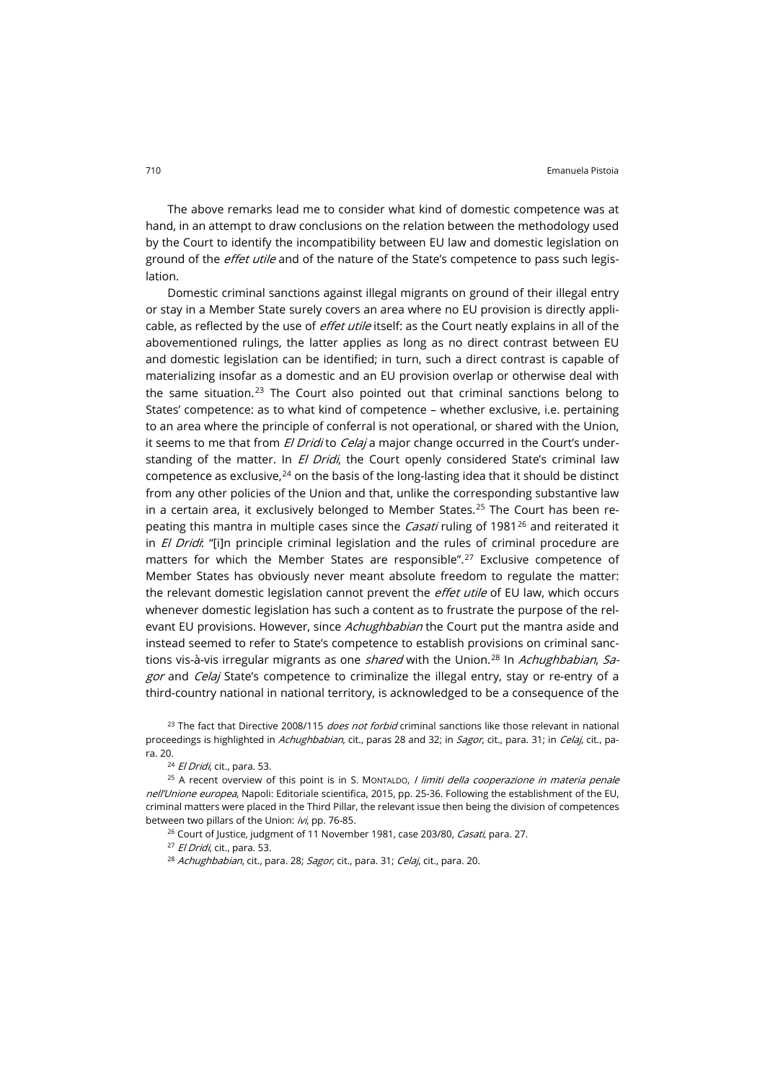The above remarks lead me to consider what kind of domestic competence was at hand, in an attempt to draw conclusions on the relation between the methodology used by the Court to identify the incompatibility between EU law and domestic legislation on ground of the *effet utile* and of the nature of the State's competence to pass such legislation.

Domestic criminal sanctions against illegal migrants on ground of their illegal entry or stay in a Member State surely covers an area where no EU provision is directly applicable, as reflected by the use of *effet utile* itself: as the Court neatly explains in all of the abovementioned rulings, the latter applies as long as no direct contrast between EU and domestic legislation can be identified; in turn, such a direct contrast is capable of materializing insofar as a domestic and an EU provision overlap or otherwise deal with the same situation.<sup>[23](#page-5-0)</sup> The Court also pointed out that criminal sanctions belong to States' competence: as to what kind of competence – whether exclusive, i.e. pertaining to an area where the principle of conferral is not operational, or shared with the Union, it seems to me that from El Dridi to Celaj a major change occurred in the Court's understanding of the matter. In El Dridi, the Court openly considered State's criminal law competence as exclusive.<sup>[24](#page-5-1)</sup> on the basis of the long-lasting idea that it should be distinct from any other policies of the Union and that, unlike the corresponding substantive law in a certain area, it exclusively belonged to Member States. $25$  The Court has been repeating this mantra in multiple cases since the *Casati* ruling of 1981<sup>[26](#page-5-3)</sup> and reiterated it in *El Dridi*: "[i]n principle criminal legislation and the rules of criminal procedure are matters for which the Member States are responsible".<sup>[27](#page-5-4)</sup> Exclusive competence of Member States has obviously never meant absolute freedom to regulate the matter: the relevant domestic legislation cannot prevent the *effet utile* of EU law, which occurs whenever domestic legislation has such a content as to frustrate the purpose of the relevant EU provisions. However, since Achughbabian the Court put the mantra aside and instead seemed to refer to State's competence to establish provisions on criminal sanctions vis-à-vis irregular migrants as one *shared* with the Union.<sup>[28](#page-5-5)</sup> In Achughbabian, Sagor and Celaj State's competence to criminalize the illegal entry, stay or re-entry of a third-country national in national territory, is acknowledged to be a consequence of the

<span id="page-5-0"></span><sup>23</sup> The fact that Directive 2008/115 does not forbid criminal sanctions like those relevant in national proceedings is highlighted in Achughbabian, cit., paras 28 and 32; in Sagor, cit., para. 31; in Celaj, cit., para. 20.

<sup>24</sup> El Dridi, cit., para. 53.

<span id="page-5-5"></span><span id="page-5-4"></span><span id="page-5-3"></span><span id="page-5-2"></span><span id="page-5-1"></span><sup>25</sup> A recent overview of this point is in S. MONTALDO, *I limiti della cooperazione in materia penale* nell'Unione europea, Napoli: Editoriale scientifica, 2015, pp. 25-36. Following the establishment of the EU, criminal matters were placed in the Third Pillar, the relevant issue then being the division of competences between two pillars of the Union: ivi, pp. 76-85.

<sup>26</sup> Court of Justice, judgment of 11 November 1981, case 203/80, *Casati*, para. 27.

<sup>27</sup> El Dridi, cit., para. 53.

<sup>28</sup> Achughbabian, cit., para. 28; Sagor, cit., para. 31; Celaj, cit., para. 20.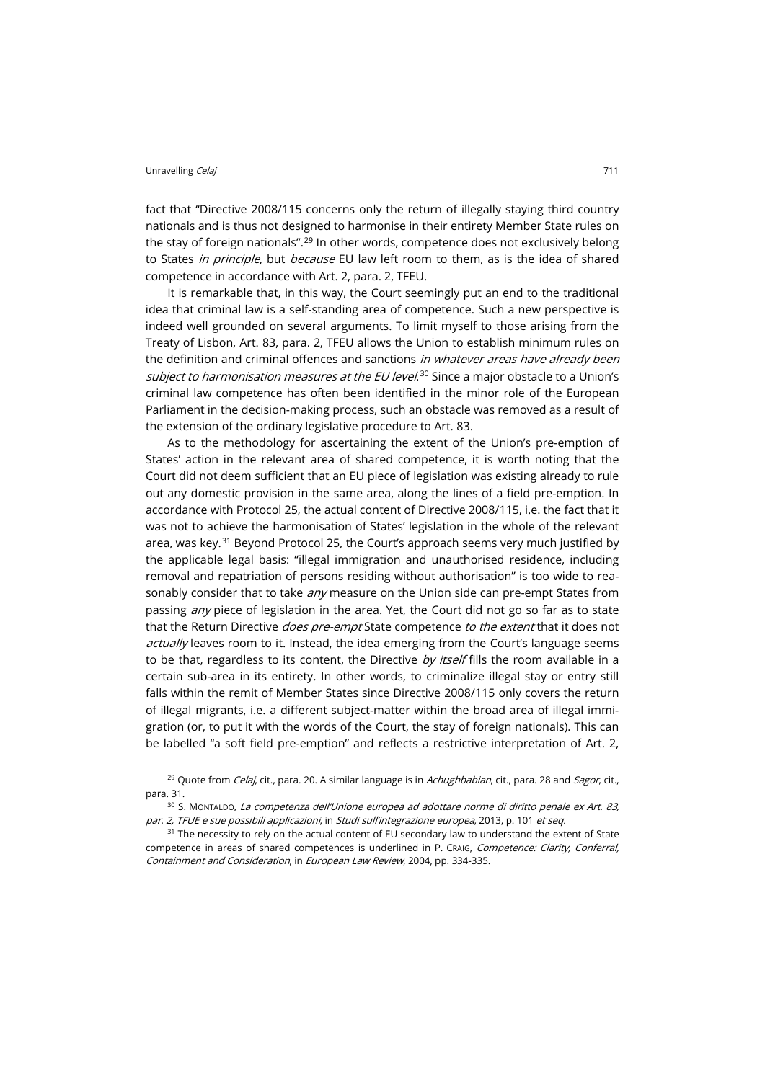fact that "Directive 2008/115 concerns only the return of illegally staying third country nationals and is thus not designed to harmonise in their entirety Member State rules on the stay of foreign nationals".[29](#page-6-0) In other words, competence does not exclusively belong to States in principle, but because EU law left room to them, as is the idea of shared competence in accordance with Art. 2, para. 2, TFEU.

It is remarkable that, in this way, the Court seemingly put an end to the traditional idea that criminal law is a self-standing area of competence. Such a new perspective is indeed well grounded on several arguments. To limit myself to those arising from the Treaty of Lisbon, Art. 83, para. 2, TFEU allows the Union to establish minimum rules on the definition and criminal offences and sanctions in whatever areas have already been subject to harmonisation measures at the EU level.<sup>[30](#page-6-1)</sup> Since a major obstacle to a Union's criminal law competence has often been identified in the minor role of the European Parliament in the decision-making process, such an obstacle was removed as a result of the extension of the ordinary legislative procedure to Art. 83.

As to the methodology for ascertaining the extent of the Union's pre-emption of States' action in the relevant area of shared competence, it is worth noting that the Court did not deem sufficient that an EU piece of legislation was existing already to rule out any domestic provision in the same area, along the lines of a field pre-emption. In accordance with Protocol 25, the actual content of Directive 2008/115, i.e. the fact that it was not to achieve the harmonisation of States' legislation in the whole of the relevant area, was key. $31$  Beyond Protocol 25, the Court's approach seems very much justified by the applicable legal basis: "illegal immigration and unauthorised residence, including removal and repatriation of persons residing without authorisation" is too wide to reasonably consider that to take *any* measure on the Union side can pre-empt States from passing *any* piece of legislation in the area. Yet, the Court did not go so far as to state that the Return Directive *does pre-empt* State competence to the extent that it does not actually leaves room to it. Instead, the idea emerging from the Court's language seems to be that, regardless to its content, the Directive by itself fills the room available in a certain sub-area in its entirety. In other words, to criminalize illegal stay or entry still falls within the remit of Member States since Directive 2008/115 only covers the return of illegal migrants, i.e. a different subject-matter within the broad area of illegal immigration (or, to put it with the words of the Court, the stay of foreign nationals). This can be labelled "a soft field pre-emption" and reflects a restrictive interpretation of Art. 2,

<span id="page-6-0"></span><sup>29</sup> Quote from *Celaj*, cit., para. 20. A similar language is in *Achughbabian*, cit., para. 28 and *Sagor*, cit., para. 31.

<span id="page-6-1"></span>30 S. MONTALDO, La competenza dell'Unione europea ad adottare norme di diritto penale ex Art. 83, par. 2, TFUE e sue possibili applicazioni, in Studi sull'integrazione europea, 2013, p. 101 et seq.

<span id="page-6-2"></span><sup>31</sup> The necessity to rely on the actual content of EU secondary law to understand the extent of State competence in areas of shared competences is underlined in P. CRAIG, Competence: Clarity, Conferral, Containment and Consideration, in European Law Review, 2004, pp. 334-335.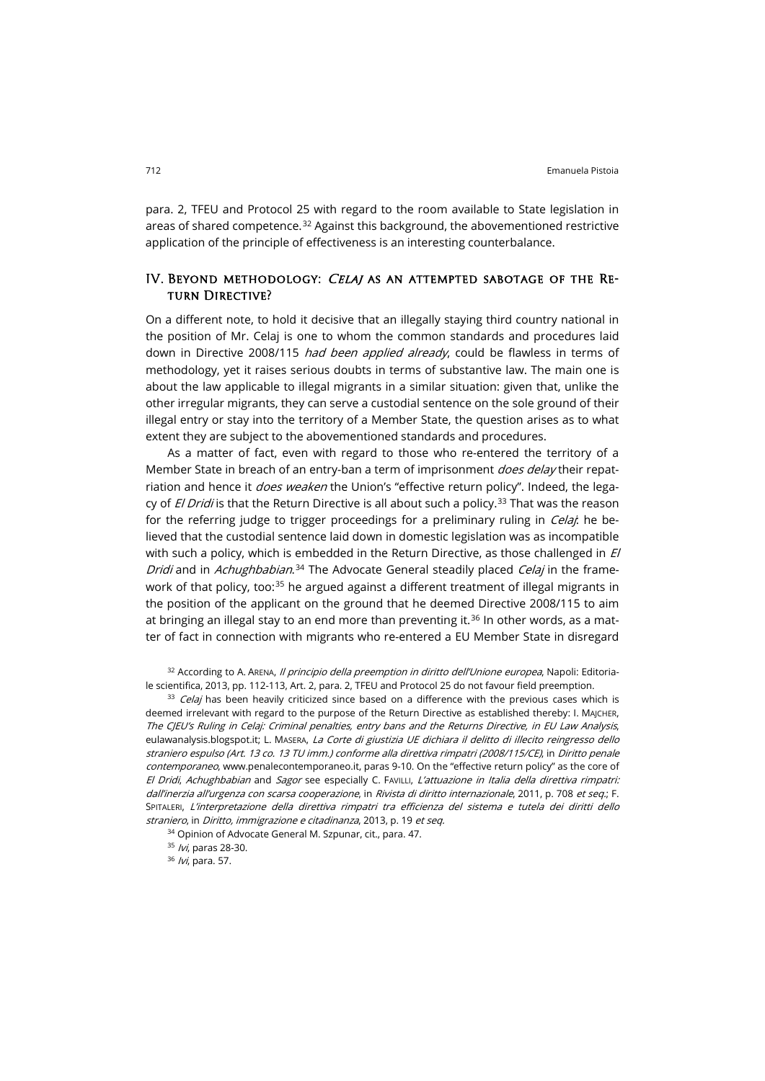para. 2, TFEU and Protocol 25 with regard to the room available to State legislation in areas of shared competence.<sup>[32](#page-7-0)</sup> Against this background, the abovementioned restrictive application of the principle of effectiveness is an interesting counterbalance.

#### IV. Beyond methodology: Celaj as an attempted sabotage of the Return Directive?

On a different note, to hold it decisive that an illegally staying third country national in the position of Mr. Celaj is one to whom the common standards and procedures laid down in Directive 2008/115 had been applied already, could be flawless in terms of methodology, yet it raises serious doubts in terms of substantive law. The main one is about the law applicable to illegal migrants in a similar situation: given that, unlike the other irregular migrants, they can serve a custodial sentence on the sole ground of their illegal entry or stay into the territory of a Member State, the question arises as to what extent they are subject to the abovementioned standards and procedures.

As a matter of fact, even with regard to those who re-entered the territory of a Member State in breach of an entry-ban a term of imprisonment *does delay* their repatriation and hence it *does weaken* the Union's "effective return policy". Indeed, the legacy of  $El Dridi$  is that the Return Directive is all about such a policy.<sup>[33](#page-7-1)</sup> That was the reason for the referring judge to trigger proceedings for a preliminary ruling in *Celai*: he believed that the custodial sentence laid down in domestic legislation was as incompatible with such a policy, which is embedded in the Return Directive, as those challenged in  $E$ Dridi and in Achughbabian.<sup>[34](#page-7-2)</sup> The Advocate General steadily placed Celaj in the frame-work of that policy, too:<sup>[35](#page-7-3)</sup> he argued against a different treatment of illegal migrants in the position of the applicant on the ground that he deemed Directive 2008/115 to aim at bringing an illegal stay to an end more than preventing it.<sup>[36](#page-7-4)</sup> In other words, as a matter of fact in connection with migrants who re-entered a EU Member State in disregard

<span id="page-7-0"></span>32 According to A. ARENA, Il principio della preemption in diritto dell'Unione europea, Napoli: Editoriale scientifica, 2013, pp. 112-113, Art. 2, para. 2, TFEU and Protocol 25 do not favour field preemption.

<span id="page-7-1"></span>33 Celaj has been heavily criticized since based on a difference with the previous cases which is deemed irrelevant with regard to the purpose of the Return Directive as established thereby: I. MAJCHER, [The CJEU's Ruling in Celaj: Criminal penalties, entry bans and the Returns Directive,](http://eulawanalysis.blogspot.it/2015/10/the-cjeus-ruling-in-celaj-criminal.html) in EU Law Analysis, [eulawanalysis.blogspot.it;](http://eulawanalysis.blogspot.it/) L. MASERA, La Corte di giustizia UE dichiara il delitto di illecito reingresso dello straniero espulso (Art. [13 co. 13 TU imm.\) conforme alla direttiva rimpatri \(2008/115/CE\)](http://www.penalecontemporaneo.it/area/3-/26-/-/4190-la_corte_di_giustizia_ue_dichiara_il_delitto_di_illecito_reingresso_dello_straniero_espulso__art__13_co__13_tu_imm___conforme_alla_direttiva_rimpatri__2008_115_ce/), in Diritto penale contemporaneo, [www.penalecontemporaneo.it,](http://www.penalecontemporaneo.it/) paras 9-10. On the "effective return policy" as the core of El Dridi, Achughbabian and Sagor see especially C. FAVILLI, L'attuazione in Italia della direttiva rimpatri: dall'inerzia all'urgenza con scarsa cooperazione, in Rivista di diritto internazionale, 2011, p. 708 et seq.; F. SPITALERI, L'interpretazione della direttiva rimpatri tra efficienza del sistema e tutela dei diritti dello straniero, in Diritto, immigrazione e citadinanza, 2013, p. 19 et seq.

<span id="page-7-2"></span>34 Opinion of Advocate General M. Szpunar, cit., para. 47.

35 *Ivi*, paras 28-30.

<span id="page-7-4"></span><span id="page-7-3"></span>36 /vi, para. 57.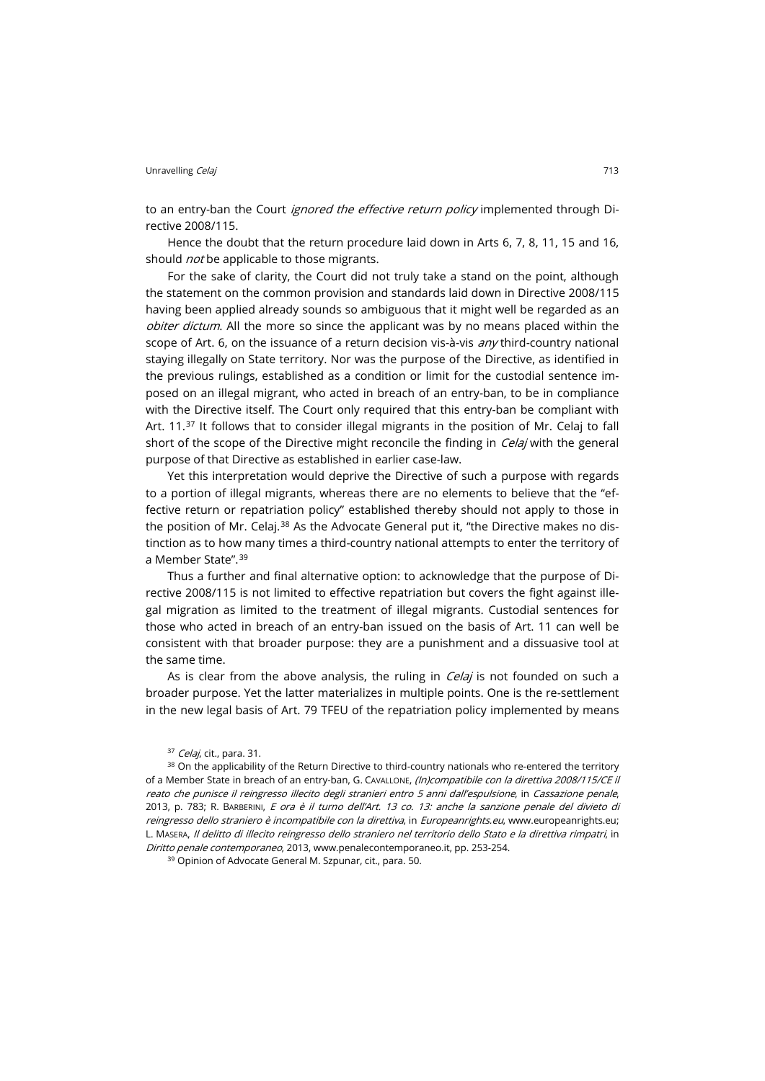to an entry-ban the Court *ignored the effective return policy* implemented through Directive 2008/115.

Hence the doubt that the return procedure laid down in Arts 6, 7, 8, 11, 15 and 16, should *not* be applicable to those migrants.

For the sake of clarity, the Court did not truly take a stand on the point, although the statement on the common provision and standards laid down in Directive 2008/115 having been applied already sounds so ambiguous that it might well be regarded as an obiter dictum. All the more so since the applicant was by no means placed within the scope of Art. 6, on the issuance of a return decision vis-à-vis *any* third-country national staying illegally on State territory. Nor was the purpose of the Directive, as identified in the previous rulings, established as a condition or limit for the custodial sentence imposed on an illegal migrant, who acted in breach of an entry-ban, to be in compliance with the Directive itself. The Court only required that this entry-ban be compliant with Art.  $11.37$  $11.37$  It follows that to consider illegal migrants in the position of Mr. Celaj to fall short of the scope of the Directive might reconcile the finding in *Celaj* with the general purpose of that Directive as established in earlier case-law.

Yet this interpretation would deprive the Directive of such a purpose with regards to a portion of illegal migrants, whereas there are no elements to believe that the "effective return or repatriation policy" established thereby should not apply to those in the position of Mr. Celaj.<sup>[38](#page-8-1)</sup> As the Advocate General put it, "the Directive makes no distinction as to how many times a third-country national attempts to enter the territory of a Member State".[39](#page-8-2)

Thus a further and final alternative option: to acknowledge that the purpose of Directive 2008/115 is not limited to effective repatriation but covers the fight against illegal migration as limited to the treatment of illegal migrants. Custodial sentences for those who acted in breach of an entry-ban issued on the basis of Art. 11 can well be consistent with that broader purpose: they are a punishment and a dissuasive tool at the same time.

As is clear from the above analysis, the ruling in  $C$ elaj is not founded on such a broader purpose. Yet the latter materializes in multiple points. One is the re-settlement in the new legal basis of Art. 79 TFEU of the repatriation policy implemented by means

<sup>37</sup> Celaj, cit., para. 31.

<span id="page-8-1"></span><span id="page-8-0"></span><sup>38</sup> On the applicability of the Return Directive to third-country nationals who re-entered the territory of a Member State in breach of an entry-ban, G. CAVALLONE, (In)compatibile con la direttiva 2008/115/CE il reato che punisce il reingresso illecito degli stranieri entro 5 anni dall'espulsione, in Cassazione penale, 2013, p. 783; R. BARBERINI, E ora è il turno dell'Art. 13 co. 13: anche la sanzione penale del divieto di [reingresso dello straniero è incompatibile con la direttiva](http://www.europeanrights.eu/public/commenti/testo_barberini_copy_1.doc), in Europeanrights.eu, [www.europeanrights.eu;](http://www.europeanrights.eu/) L. MASERA, [Il delitto di illecito reingresso dello straniero nel territorio dello Stato e la direttiva rimpatri](http://www.penalecontemporaneo.it/foto/33154%202013.pdf#page=246&view=Fit), in Diritto penale contemporaneo, 2013[, www.penalecontemporaneo.it,](http://www.penalecontemporaneo.it/) pp. 253-254.

<span id="page-8-2"></span><sup>39</sup> Opinion of Advocate General M. Szpunar, cit., para. 50.